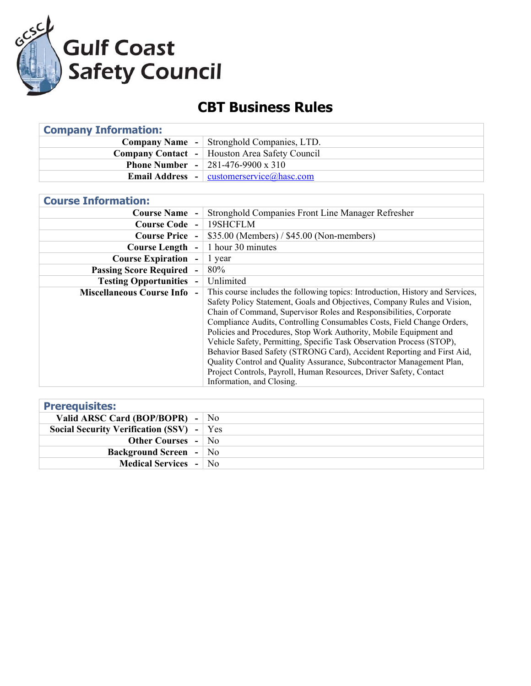

## **CBT Business Rules**

| <b>Company Information:</b> |                                                              |  |
|-----------------------------|--------------------------------------------------------------|--|
|                             | <b>Company Name</b> - Stronghold Companies, LTD.             |  |
|                             | <b>Company Contact</b> - Houston Area Safety Council         |  |
|                             | <b>Phone Number - 281-476-9900 x 310</b>                     |  |
|                             | <b>Email Address</b> - $\vert$ customerservice (a) has c.com |  |

| <b>Course Information:</b>       |                                                                                |
|----------------------------------|--------------------------------------------------------------------------------|
| <b>Course Name -</b>             | Stronghold Companies Front Line Manager Refresher                              |
| Course Code -                    | 19SHCFLM                                                                       |
| <b>Course Price -</b>            | $$35.00$ (Members) / $$45.00$ (Non-members)                                    |
| <b>Course Length</b>             | 1 hour 30 minutes                                                              |
| <b>Course Expiration</b>         | 1 year                                                                         |
| <b>Passing Score Required</b>    | 80%                                                                            |
| <b>Testing Opportunities -</b>   | Unlimited                                                                      |
| <b>Miscellaneous Course Info</b> | This course includes the following topics: Introduction, History and Services, |
|                                  | Safety Policy Statement, Goals and Objectives, Company Rules and Vision,       |
|                                  | Chain of Command, Supervisor Roles and Responsibilities, Corporate             |
|                                  | Compliance Audits, Controlling Consumables Costs, Field Change Orders,         |
|                                  | Policies and Procedures, Stop Work Authority, Mobile Equipment and             |
|                                  | Vehicle Safety, Permitting, Specific Task Observation Process (STOP),          |
|                                  | Behavior Based Safety (STRONG Card), Accident Reporting and First Aid,         |
|                                  | Quality Control and Quality Assurance, Subcontractor Management Plan,          |
|                                  | Project Controls, Payroll, Human Resources, Driver Safety, Contact             |
|                                  | Information, and Closing.                                                      |

| <b>Prerequisites:</b>                      |  |
|--------------------------------------------|--|
| Valid ARSC Card (BOP/BOPR) - $\vert$ No    |  |
| Social Security Verification (SSV) $-$ Yes |  |
| <b>Other Courses - No</b>                  |  |
| <b>Background Screen</b> - No              |  |
| <b>Medical Services - No</b>               |  |